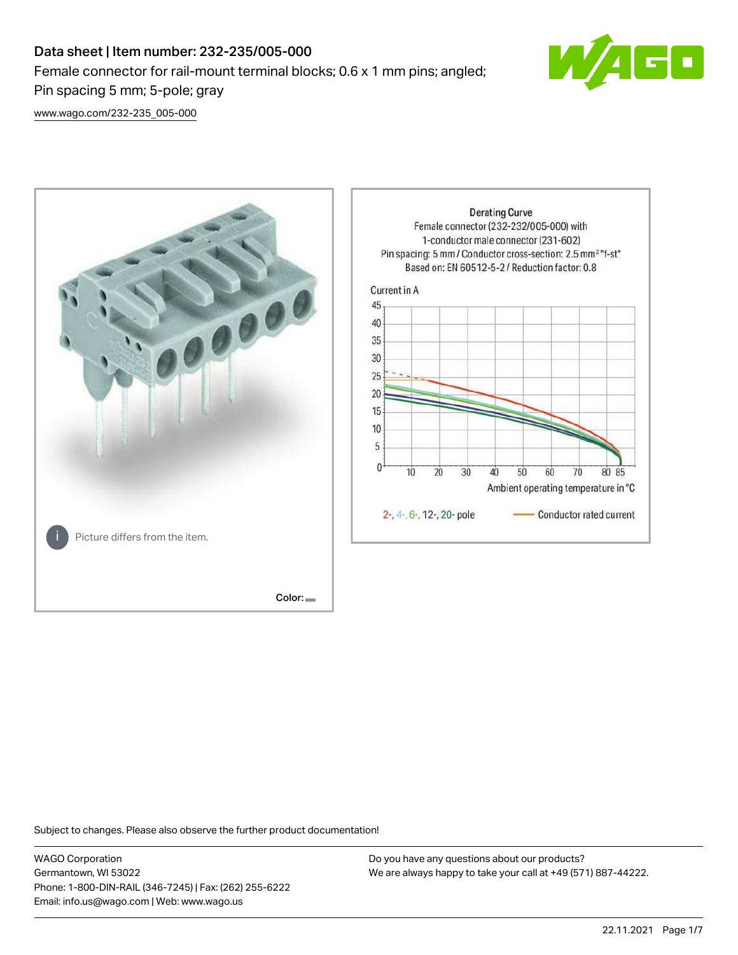# Data sheet | Item number: 232-235/005-000 Female connector for rail-mount terminal blocks; 0.6 x 1 mm pins; angled; Pin spacing 5 mm; 5-pole; gray



[www.wago.com/232-235\\_005-000](http://www.wago.com/232-235_005-000)



Subject to changes. Please also observe the further product documentation!

WAGO Corporation Germantown, WI 53022 Phone: 1-800-DIN-RAIL (346-7245) | Fax: (262) 255-6222 Email: info.us@wago.com | Web: www.wago.us

Do you have any questions about our products? We are always happy to take your call at +49 (571) 887-44222.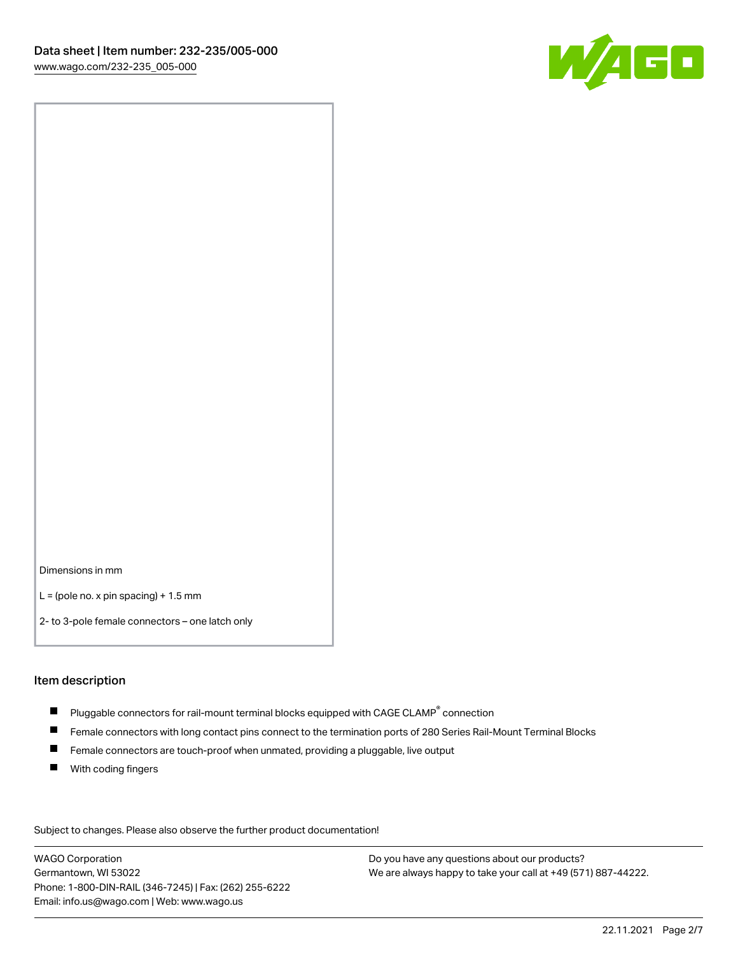

Dimensions in mm

 $L =$  (pole no. x pin spacing) + 1.5 mm

2- to 3-pole female connectors – one latch only

#### Item description

- $\blacksquare$  Pluggable connectors for rail-mount terminal blocks equipped with CAGE CLAMP $^\circ$  connection
- Female connectors with long contact pins connect to the termination ports of 280 Series Rail-Mount Terminal Blocks
- $\blacksquare$ Female connectors are touch-proof when unmated, providing a pluggable, live output
- $\blacksquare$ With coding fingers

Subject to changes. Please also observe the further product documentation! Data

WAGO Corporation Germantown, WI 53022 Phone: 1-800-DIN-RAIL (346-7245) | Fax: (262) 255-6222 Email: info.us@wago.com | Web: www.wago.us

Do you have any questions about our products? We are always happy to take your call at +49 (571) 887-44222.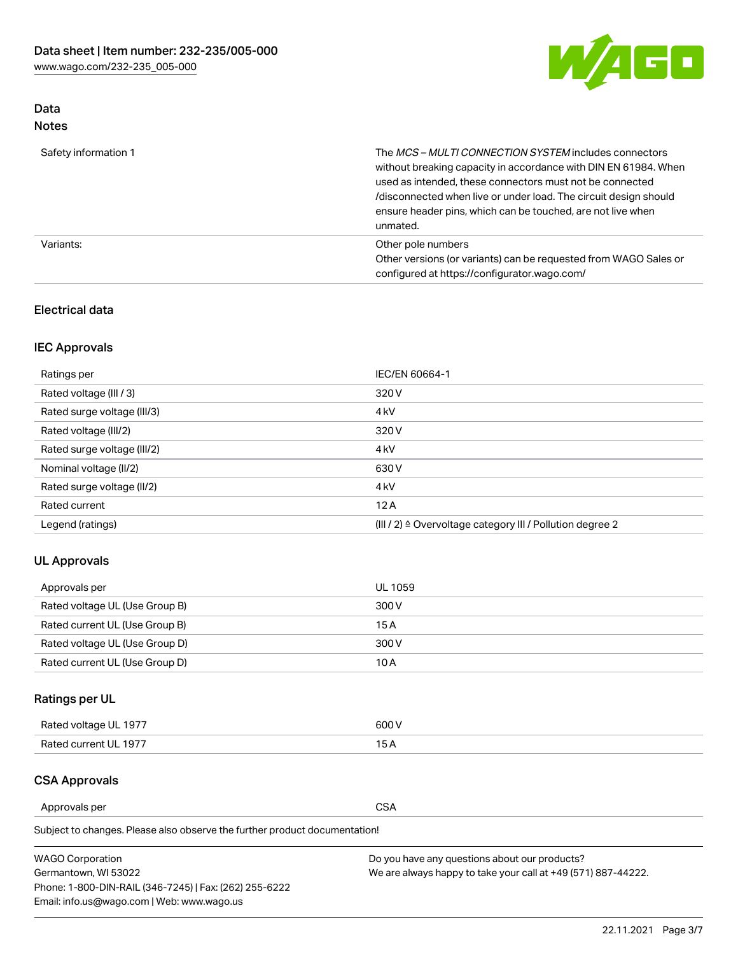

# Data Notes

| Safety information 1 | The MCS-MULTI CONNECTION SYSTEM includes connectors<br>without breaking capacity in accordance with DIN EN 61984. When<br>used as intended, these connectors must not be connected<br>/disconnected when live or under load. The circuit design should<br>ensure header pins, which can be touched, are not live when<br>unmated. |
|----------------------|-----------------------------------------------------------------------------------------------------------------------------------------------------------------------------------------------------------------------------------------------------------------------------------------------------------------------------------|
| Variants:            | Other pole numbers<br>Other versions (or variants) can be requested from WAGO Sales or<br>configured at https://configurator.wago.com/                                                                                                                                                                                            |

### Electrical data

# IEC Approvals

| Ratings per                 | IEC/EN 60664-1                                                        |
|-----------------------------|-----------------------------------------------------------------------|
| Rated voltage (III / 3)     | 320 V                                                                 |
| Rated surge voltage (III/3) | 4 <sub>k</sub> V                                                      |
| Rated voltage (III/2)       | 320 V                                                                 |
| Rated surge voltage (III/2) | 4 <sub>k</sub> V                                                      |
| Nominal voltage (II/2)      | 630 V                                                                 |
| Rated surge voltage (II/2)  | 4 <sub>k</sub> V                                                      |
| Rated current               | 12A                                                                   |
| Legend (ratings)            | $(III / 2)$ $\triangle$ Overvoltage category III / Pollution degree 2 |

### UL Approvals

| Approvals per                  | UL 1059 |
|--------------------------------|---------|
| Rated voltage UL (Use Group B) | 300 V   |
| Rated current UL (Use Group B) | 15 A    |
| Rated voltage UL (Use Group D) | 300 V   |
| Rated current UL (Use Group D) | 10 A    |

# Ratings per UL

| Rated voltage UL 1977 | 300 V |
|-----------------------|-------|
| Rated current UL 1977 |       |

### CSA Approvals

Approvals per CSA

| <b>WAGO Corporation</b>                                | Do you have any questions about our products?                 |
|--------------------------------------------------------|---------------------------------------------------------------|
| Germantown, WI 53022                                   | We are always happy to take your call at +49 (571) 887-44222. |
| Phone: 1-800-DIN-RAIL (346-7245)   Fax: (262) 255-6222 |                                                               |
| Email: info.us@wago.com   Web: www.wago.us             |                                                               |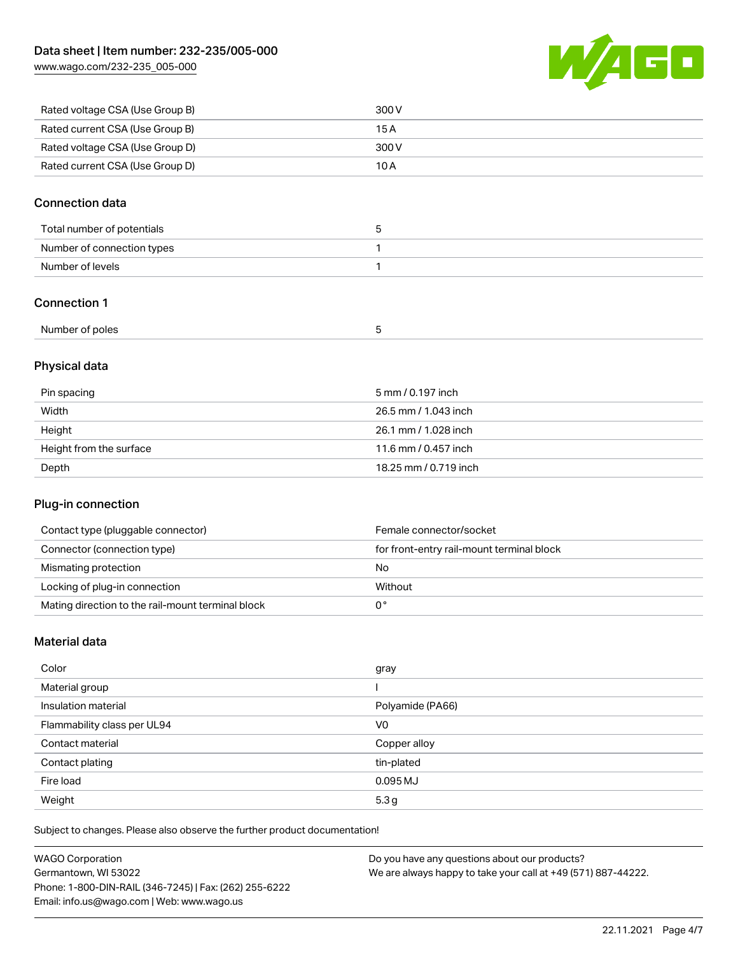[www.wago.com/232-235\\_005-000](http://www.wago.com/232-235_005-000)



| Rated voltage CSA (Use Group B) | 300 V |
|---------------------------------|-------|
| Rated current CSA (Use Group B) | 15 A  |
| Rated voltage CSA (Use Group D) | 300 V |
| Rated current CSA (Use Group D) | 10 A  |

### Connection data

| Total number of potentials |  |
|----------------------------|--|
| Number of connection types |  |
| Number of levels           |  |

### Connection 1

| Number of poles |
|-----------------|
|-----------------|

# Physical data

| Pin spacing             | 5 mm / 0.197 inch     |
|-------------------------|-----------------------|
| Width                   | 26.5 mm / 1.043 inch  |
| Height                  | 26.1 mm / 1.028 inch  |
| Height from the surface | 11.6 mm / 0.457 inch  |
| Depth                   | 18.25 mm / 0.719 inch |

# Plug-in connection

| Contact type (pluggable connector)                | Female connector/socket                   |
|---------------------------------------------------|-------------------------------------------|
| Connector (connection type)                       | for front-entry rail-mount terminal block |
| Mismating protection                              | No                                        |
| Locking of plug-in connection                     | Without                                   |
| Mating direction to the rail-mount terminal block |                                           |

### Material data

| Color                       | gray             |
|-----------------------------|------------------|
| Material group              |                  |
| Insulation material         | Polyamide (PA66) |
| Flammability class per UL94 | V <sub>0</sub>   |
| Contact material            | Copper alloy     |
| Contact plating             | tin-plated       |
| Fire load                   | 0.095 MJ         |
| Weight                      | 5.3g             |

| <b>WAGO Corporation</b>                                | Do you have any questions about our products?                 |
|--------------------------------------------------------|---------------------------------------------------------------|
| Germantown, WI 53022                                   | We are always happy to take your call at +49 (571) 887-44222. |
| Phone: 1-800-DIN-RAIL (346-7245)   Fax: (262) 255-6222 |                                                               |
| Email: info.us@wago.com   Web: www.wago.us             |                                                               |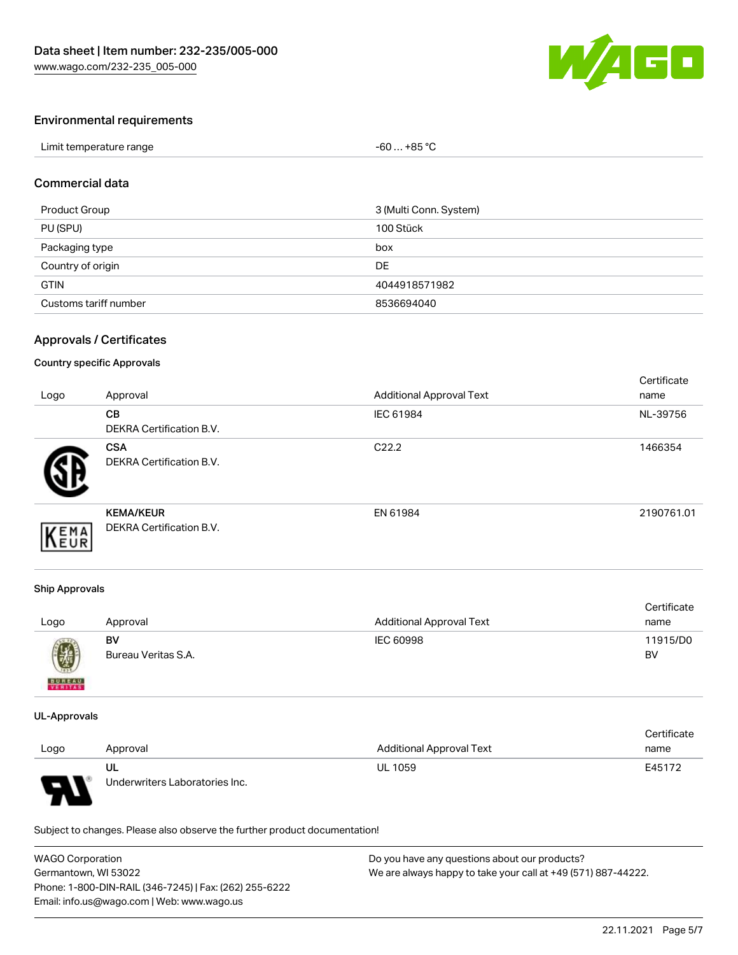

### Environmental requirements

| Limit temperature range | $-60+85 °C$ |
|-------------------------|-------------|
|-------------------------|-------------|

#### Commercial data

| Product Group         | 3 (Multi Conn. System) |
|-----------------------|------------------------|
| PU (SPU)              | 100 Stück              |
| Packaging type        | box                    |
| Country of origin     | DE                     |
| <b>GTIN</b>           | 4044918571982          |
| Customs tariff number | 8536694040             |

### Approvals / Certificates

#### Country specific Approvals

| Logo | Approval                                            | <b>Additional Approval Text</b> | Certificate<br>name |
|------|-----------------------------------------------------|---------------------------------|---------------------|
|      | <b>CB</b><br><b>DEKRA Certification B.V.</b>        | IEC 61984                       | NL-39756            |
|      | <b>CSA</b><br>DEKRA Certification B.V.              | C <sub>22.2</sub>               | 1466354             |
| EMA  | <b>KEMA/KEUR</b><br><b>DEKRA Certification B.V.</b> | EN 61984                        | 2190761.01          |

#### Ship Approvals

| Logo                                                                                                                                                                                                                                                                                                                                                                                                                                                                                | Approval            | <b>Additional Approval Text</b> | Certificate<br>name |
|-------------------------------------------------------------------------------------------------------------------------------------------------------------------------------------------------------------------------------------------------------------------------------------------------------------------------------------------------------------------------------------------------------------------------------------------------------------------------------------|---------------------|---------------------------------|---------------------|
| $\bigcirc\!\!\!\!\! \bigcirc\!\!\!\!\! \bigcirc\!\!\!\!\! \bigcirc\!\!\!\!\! \bigcirc\!\!\!\!\! \bigcirc\!\!\!\!\! \bigcirc\!\!\!\!\! \bigcirc\!\!\!\!\! \bigcirc\!\!\!\!\! \bigcirc\!\!\!\!\! \bigcirc\!\!\!\!\! \bigcirc\!\!\!\!\! \bigcirc\!\!\!\!\! \bigcirc\!\!\!\!\! \bigcirc\!\!\!\!\! \bigcirc\!\!\!\!\! \bigcirc\!\!\!\!\! \bigcirc\!\!\!\!\! \bigcirc\!\!\!\!\! \bigcirc\!\!\!\!\! \bigcirc\!\!\!\!\! \bigcirc\!\!\!\!\! \bigcirc\!\!\!\!\! \bigcirc\!\!\!\!\! \bigcirc\$ | BV                  | IEC 60998                       | 11915/D0            |
| <b>BUREAU</b>                                                                                                                                                                                                                                                                                                                                                                                                                                                                       | Bureau Veritas S.A. |                                 | BV                  |

#### UL-Approvals

|        |                                |                                 | Certificate |
|--------|--------------------------------|---------------------------------|-------------|
| Logo   | Approval                       | <b>Additional Approval Text</b> | name        |
|        | UL                             | <b>UL 1059</b>                  | E45172      |
| $\Box$ | Underwriters Laboratories Inc. |                                 |             |

| <b>WAGO Corporation</b>                                | Do you have any questions about our products?                 |
|--------------------------------------------------------|---------------------------------------------------------------|
| Germantown, WI 53022                                   | We are always happy to take your call at +49 (571) 887-44222. |
| Phone: 1-800-DIN-RAIL (346-7245)   Fax: (262) 255-6222 |                                                               |
| Email: info.us@wago.com   Web: www.wago.us             |                                                               |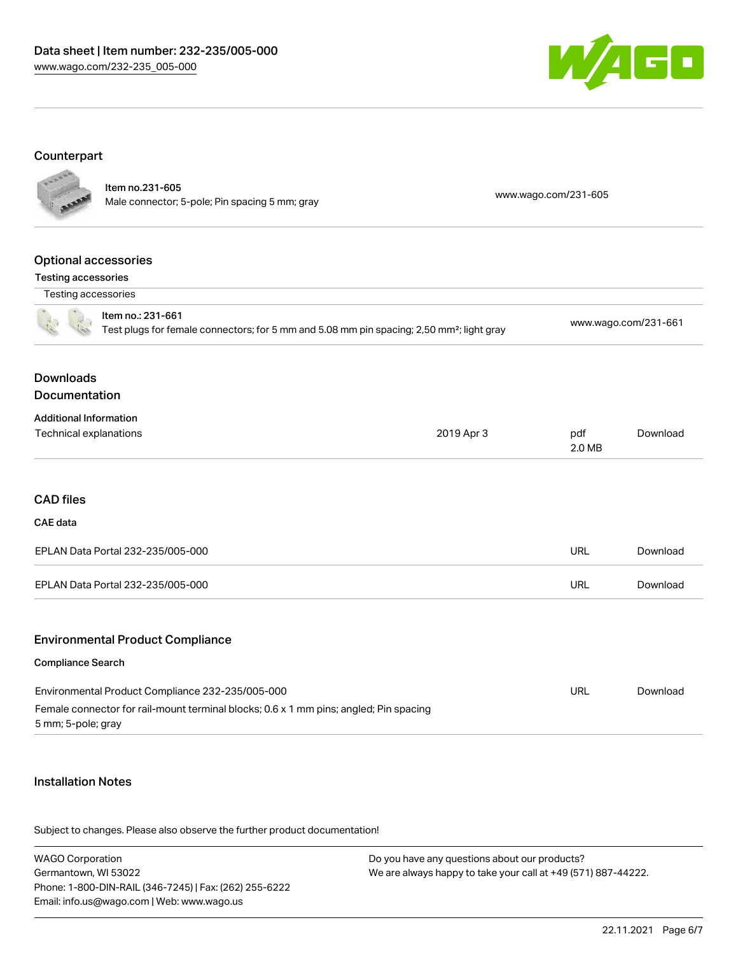

# Counterpart

|                                                                | Item no.231-605<br>Male connector; 5-pole; Pin spacing 5 mm; gray                                                                         |            | www.wago.com/231-605 |                      |
|----------------------------------------------------------------|-------------------------------------------------------------------------------------------------------------------------------------------|------------|----------------------|----------------------|
|                                                                |                                                                                                                                           |            |                      |                      |
| <b>Optional accessories</b>                                    |                                                                                                                                           |            |                      |                      |
| <b>Testing accessories</b><br>Testing accessories              |                                                                                                                                           |            |                      |                      |
|                                                                | Item no.: 231-661<br>Test plugs for female connectors; for 5 mm and 5.08 mm pin spacing; 2,50 mm <sup>2</sup> ; light gray                |            |                      | www.wago.com/231-661 |
| <b>Downloads</b><br>Documentation                              |                                                                                                                                           |            |                      |                      |
| <b>Additional Information</b><br><b>Technical explanations</b> |                                                                                                                                           | 2019 Apr 3 | pdf<br>2.0 MB        | Download             |
| <b>CAD files</b><br>CAE data                                   |                                                                                                                                           |            |                      |                      |
|                                                                | EPLAN Data Portal 232-235/005-000                                                                                                         |            | <b>URL</b>           | Download             |
|                                                                | EPLAN Data Portal 232-235/005-000                                                                                                         |            | <b>URL</b>           | Download             |
| Compliance Search                                              | <b>Environmental Product Compliance</b>                                                                                                   |            |                      |                      |
| 5 mm; 5-pole; gray                                             | Environmental Product Compliance 232-235/005-000<br>Female connector for rail-mount terminal blocks; 0.6 x 1 mm pins; angled; Pin spacing |            | <b>URL</b>           | Download             |
|                                                                |                                                                                                                                           |            |                      |                      |

### Installation Notes

| <b>WAGO Corporation</b>                                | Do you have any questions about our products?                 |
|--------------------------------------------------------|---------------------------------------------------------------|
| Germantown, WI 53022                                   | We are always happy to take your call at +49 (571) 887-44222. |
| Phone: 1-800-DIN-RAIL (346-7245)   Fax: (262) 255-6222 |                                                               |
| Email: info.us@wago.com   Web: www.wago.us             |                                                               |